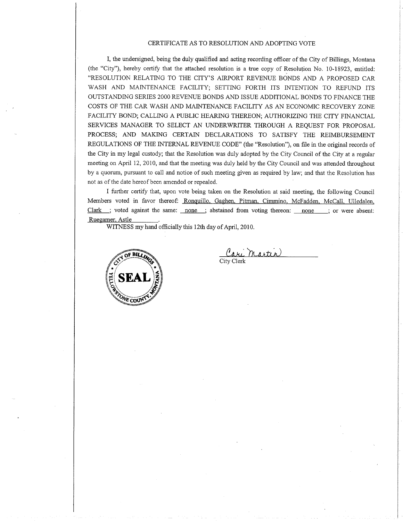## CERTIFICATE AS TO RESOLUTION AND ADOPTING VOTE

I, the undersigned, being the duly qualified and acting recording officer of the City of Billings, Montana (the "City''), hereby certify that the attached resolution is a true copy of Resolution No. 10-18923, entitled: "RESOLUTION RELATING TO THE CITY'S AIRPORT REVENUE BONDS AND A PROPOSED CAR WASH AND MAINTENANCE FACILITY; SETTING FORTH ITS INTENTION TO REFUND ITS OUTSTANDING SERIES 2OOO REVENUE BONDS AND ISSUE ADDITIONAL BONDS TO FINANCE THE COSTS OF THE CAR WASH AND MAINTENANCE FACILITY AS AN ECONOMIC RECOVERY ZONE FACILITY BOND; CALLING A PUBLIC HEARING THEREON; AUTHORIZiNG THE CITY FINANCIAL SERVICES MANAGER TO SELECT AN UNDERWRITER THROUGH A REQUEST FOR PROPOSAL PROCESS; AND MAKING CERTAIN DECLARATIONS TO SATISFY THE REIMBURSEMENT REGULATIONS OF THE INTERNAL REVENUE CODE" (the "Resolution"), on file in the original records of the City in my legal custody; that the Resolution was duly adopted by the Ciry Council of the City at a regular meeting on April 12,2010, and that the meeting was duly held by the City Council and was attended throughout by a quorum, pursuant to call and notice of such meeting given as required by law; and that the Resolution has not as of the date hereof been amended or repealed.

I fuither certify that, upon vote being taken on the Resolution at said meeting, the following Council Members voted in favor thereof: Ronquillo, Gaghen, Pitman, Cimmino, McFadden, McCall, Ulledalen, Clark ; voted against the same: none ; abstained from voting thereon: none ; or were absent: Ruegamer. Astle

WITNESS my hand officially this 12th day of April, 2010.



Cari Ma Carl *Tharlin*<br>City Clerk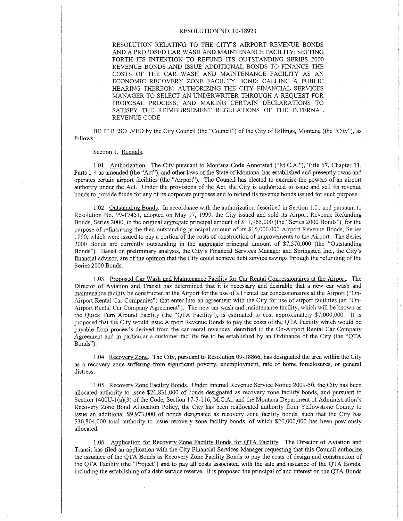## RESOLUTION NO. 1O-18923

RESOLUTION RELATING TO THE CITY'S AIRPORT REVENUE BONDS AND A PROPOSED CAR WASH AND MAINTENANCE FACILITY; SETTING FORTH ITS INTENTION TO REFUND ITS OUTSTANDING SERIES 2OOO REVENUE BONDS AND ISSUE ADDITIONAL BONDS TO FINANCE THE COSTS OF THE CAR WASH AND MAINTENANCE FACILITY AS AN ECONOMIC RECOVERY ZONE FACILITY BOND; CALLING A PUBLIC HEARING THEREON: AUTHORIZING THE CITY FINANCIAL SERVICES MANAGER TO SELECT AN UNDERWRITER THROUGH A REQUEST FOR PROPOSAL PROCESS; AND MAKING CERTAIN DECLARATIONS TO SATISFY THE REIMBURSEMENT REGULATIONS OF THE INTERNAL REVENUE CODE

BE IT RESOLVED by the City Council (the "Council") of the City of Billings, Montana (the "City"), as follows:

## Section 1. Recitals.

1.01. Authorization. The City pursuant to Montana Code Annotated ("M.C.A."), Title 67, Chapter 11, Parts 1-4 as amended (the "Act"), and other laws of the State of Montana, has established and presently owns and operates certain airport facilities (the "Airport"). The Council has elected to exercise the powers of an airport authority under the Act. Under the provisions of the Act, the City is authôrized to issue and sell its revenue bonds to provide funds for any of its corporate purposes and to refund its revenue bonds issued for such purpose.

1.02. Outstanding Bonds. In accordance with the authorization described in Section 1.01 and pursuant to Resolution No. 99-17451, adopted on May 17, 1999, the City issued and sold its Airport Revenue Refunding Bonds, Series 2000, in the original aggregate principal amount of \$11,965,000 (the "Series 2000 Bonds"), for the purpose of refinancing the then outstanding principal amount of its S15,000,000 Airport Revenue Bonds, Series 1990, which were issued to pay a portion of the costs of construction of improvements to the Airport. The Series 2000 Bonds are currently outstanding in the aggregate principal amount of \$7,570,000 (the "Outstanding Bonds"). Based on preliminary analysis, the City's Financial Services Manager and Springsted Inc., the City's financial advisor, are of the opinion that the City could achieve debt service savings through the refunding of the Series 2000 Bonds.

1.03. Proposed Car Wash and Maintenance Facility for Car Rental Concessionaires at the Airport. The Director of Aviation and Transit has determined that it is necessary and desirable that a new car wash and maintenance facility be constructed at the Airport for the use of all rental car concessionaires at the Airport ("On-Airport Rental Car Companies") that enter into an agreement with the City for use of airport facilities (an "On-Airport Rental Car Company Agreement"). The new car wash and maintenance facility, which will be known as the Quick Tum Around Facility (the "QTA Facility"), is estimated to cost approximately \$7,000,000. It is proposed that the City would issue Airport Revenue Bonds to pay the costs of the QTA Facility which would be payable from proceeds derived from the car rental revenues identified in the On-Airport Rental Car Company Agreement and in particular a customer facility fee to be established by an Ordinance of the City (the "QTA Bonds").

<sup>1</sup>.04. Recovery Zone. The City, pursuant to Resolution 09-18866, has designated the area within the City as a recovery zone suffering from significant poverty, unemployment, rate of home foreclosures, or general distress.

1.05. Recoverv Zone Facility Bonds. Under Intemal Revenue Service Notice 2009-50, the City has been allocated authority to issue \$26,831,000 of bonds designated as recovery zone facility bonds, and pursuant to Section 1400U-1(a)(3) of the Code, Section 17-5-116, M.C.A., and the Montana Department of Administration's Recovery Zone Bond Ailocation Policy, the City has been reallocated authority from Yeilowstone County to issue an additional \$9,973,000 of bonds designated as recovery zone facility bonds, such that the City has \$36,804,000 total authority to issue recovery zone facility bonds, of which \$20,000,000 has been previously allocated.

1.06. Application for Recovery Zone Facility Bonds for QTA Facility. The Director of Aviation and Transit has fi1ed an application with the City Financial Services Manager requesting that this Council authorize the issuance of the QTA Bonds as Recovery Zone Facility Bonds to pay the costs of desigr and construction of the QTA Facility (the "Project") and to pay all costs associated with the sale and issuance of the QTA Bonds, including the estabiishing of a debt service reserve. It is proposed the principal of and interest on the QTA Bonds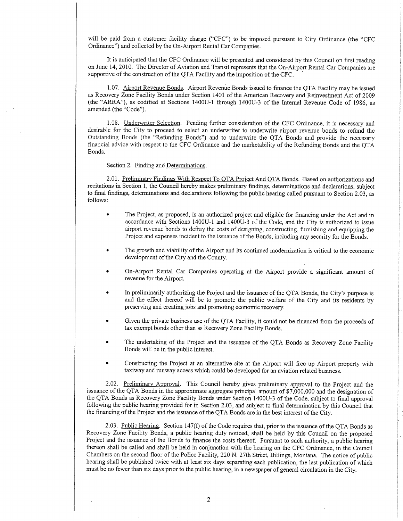will be paid from a customer facility charge ("CFC") to be imposed pursuant to City Ordinance (the "CFC Ordinance") and coliected by the On-Airport Rental Car Companies.

It is anticipated that the CFC Ordinance will be presented and considered by this Council on first reading on June 14,2010. The Director of Aviation and Transit represents that the On-Airport Rental Car Companies are supportive of the construction of the QTA Facility and the imposition of the CFC.

1.07. Airport Revenue Bonds. Airport Revenue Bonds issued to finance the QTA Facility may be issued as Recovery Zone Facility Bonds under Section 1401 of the American Recovery and Reinvestment Act of 2009 (the "ARRA"), as codified at Sections 1400U-1 through 1400U-3 of the lnternal Revenue Code of 1986, as amended (the "Code").

1.08. Underwriter Selection. Pending further consideration of the CFC Ordinance, it is necessary and desirable for the City to proceed to select an underwriter to underwrite airport revenue bonds to refund the Outstanding Bonds (the "Refunding Bonds") and to underwrite the QTA Bonds and provide the necessary financial advice with respect to the CFC Ordinance and the marketability of the Refunding Bonds and the QTA Bonds.

Section 2. Finding and Determinations.

2.01. Preliminary Findings With Respect To QTA Project And QTA Bonds. Based on authorizations and recitations in Section 1, the Council hereby makes preliminary findings, determinations and declarations, subject to final findings, determinations and declarations following the public hearing called pursuant to Section 2.03, as follows:

- . The Project, as proposed, is an authorized project and eligible for financing under the Act and in accordance with Sections 1400U-1 and 1400U-3 of the Code, and the City is authorized to issue airport revenue bonds to defray the costs of designing, constructing, furnishing and equipping the Project and expenses incident to the issuance of the Bonds, including any security for the Bonds.
- . The growth and viability of the Airport and its continued modernization is critical to the economic development of the City and the County.
- . On-Airport Rental Car Companies operating at the Airport provide a significant amount of revenue for the Airport.
- In preliminarily authorizing the Project and the issuance of the QTA Bonds, the City's purpose is and the effect thereof will be to promote the public welfare of the City and its residents by preserving and creating jobs and promoting economic recovery.
- Given the private business use of the QTA Facility, it could not be financed from the proceeds of tax exempt bonds other than as Recovery Zone Facility Bonds.
- . The undefaking of the Project and the issuance of the QTA Bonds as Recovery Zone Facility Bonds wiil be in the public interest.
- . Constructing the Project at an alternative site at the Airport will free up Airport property with taxiway and runway access which could be developed for an aviation related business.

2.02. Preliminary Approval. This Council hereby gives preliminary approval to the Project and the issuance of the QTA Bonds in the approximate aggregate principal amount of \$7,000,000 and the designation of the QTA Bonds as Recovery Zone Facility Bonds under Section 1400U-3 of the Code, subject to final approval following the public hearing provided for in Section 2.03, and subject to final determination by this Council that the financing of the Project and the issuance of the QTA Bonds are in the best interest of the City.

2.03. Public Hearing. Section 147(f) of the Code requires that, prior to the issuance of the QTA Bonds as Recovery Zone Facility Bonds, a public hearing duly noticed, shall be held by this Council on the proposed Project and the issuance of the Bonds to finance the costs thereof. Pursuant to such authority, a public hearing thereon shall be called and shall be held in conjunction with the hearing on the CFC Ordinance, in the Council Chambers on the second floor of the Police Facility, 220 N. 27th Street, Billings, Montana. The notice of public hearing shall be published twice with at least six days separating each publication, the last publication ofwhich must be no fewer than six days prior to the public hearing, in a newspaper of general circulation in the City.